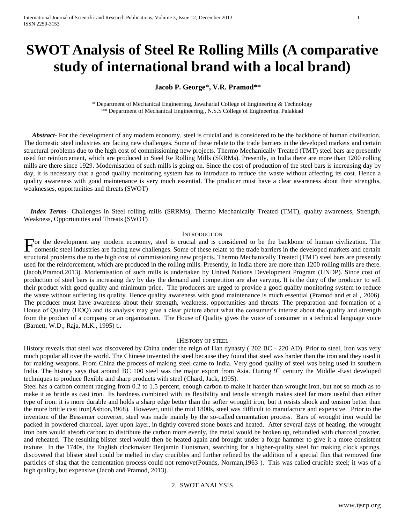# **SWOT Analysis of Steel Re Rolling Mills (A comparative study of international brand with a local brand)**

## **Jacob P. George\*, V.R. Pramod\*\***

\* Department of Mechanical Engineering, Jawaharlal College of Engineering & Technology \*\* Department of Mechanical Engineering,, N.S.S College of Engineering, Palakkad

 *Abstract***-** For the development of any modern economy, steel is crucial and is considered to be the backbone of human civilisation. The domestic steel industries are facing new challenges. Some of these relate to the trade barriers in the developed markets and certain structural problems due to the high cost of commissioning new projects. Thermo Mechanically Treated (TMT) steel bars are presently used for reinforcement, which are produced in Steel Re Rolling Mills (SRRMs). Presently, in India there are more than 1200 rolling mills are there since 1929. Modernisation of such mills is going on. Since the cost of production of the steel bars is increasing day by day, it is necessary that a good quality monitoring system has to introduce to reduce the waste without affecting its cost. Hence a quality awareness with good maintenance is very much essential. The producer must have a clear awareness about their strengths, weaknesses, opportunities and threats (SWOT)

 *Index Terms*- Challenges in Steel rolling mills (SRRMs), Thermo Mechanically Treated (TMT), quality awareness, Strength, Weakness, Opportunities and Threats (SWOT)

#### **INTRODUCTION**

or the development any modern economy, steel is crucial and is considered to be the backbone of human civilization. The For the development any modern economy, steel is crucial and is considered to be the backbone of human civilization. The domestic steel industries are facing new challenges. Some of these relate to the trade barriers in th structural problems due to the high cost of commissioning new projects. Thermo Mechanically Treated (TMT) steel bars are presently used for the reinforcement, which are produced in the rolling mills. Presently, in India there are more than 1200 rolling mills are there. (Jacob,Pramod,2013). Modernisation of such mills is undertaken by United Nations Development Program (UNDP). Since cost of production of steel bars is increasing day by day the demand and competition are also varying. It is the duty of the producer to sell their product with good quality and minimum price. The producers are urged to provide a good quality monitoring system to reduce the waste without suffering its quality. Hence quality awareness with good maintenance is much essential (Pramod and et al , 2006). The producer must have awareness about their strength, weakness, opportunities and threats. The preparation and formation of a House of Quality (HOQ) and its analysis may give a clear picture about what the consumer's interest about the quality and strength from the product of a company or an organization. The House of Quality gives the voice of consumer in a technical language voice (Barnett, W.D., Raja, M.K., 1995) t.**.** 

#### 1HISTORY OF STEEL

History reveals that steel was discovered by China under the reign of Han dynasty ( 202 BC - 220 AD). Prior to steel, Iron was very much popular all over the world. The Chinese invented the steel because they found that steel was harder than the iron and they used it for making weapons. From China the process of making steel came to India. Very good quality of steel was being used in southern India. The history says that around BC 100 steel was the major export from Asia. During 9<sup>th</sup> century the Middle -East developed techniques to produce flexible and sharp products with steel (Chard, Jack, 1995).

Steel has a carbon content ranging from 0.2 to 1.5 percent, enough carbon to make it harder than wrought iron, but not so much as to make it as brittle as cast iron. Its hardness combined with its flexibility and tensile strength makes steel far more useful than either type of iron: it is more durable and holds a sharp edge better than the softer wrought iron, but it resists shock and tension better than the more brittle cast iron(Ashton,1968). However, until the mid 1800s, steel was difficult to manufacture and expensive. Prior to the invention of the Bessemer converter, steel was made mainly by the so-called cementation process. Bars of wrought iron would be packed in powdered charcoal, layer upon layer, in tightly covered stone boxes and heated. After several days of heating, the wrought iron bars would absorb carbon; to distribute the carbon more evenly, the metal would be broken up, rebundled with charcoal powder, and reheated. The resulting blister steel would then be heated again and brought under a forge hammer to give it a more consistent texture. In the 1740s, the English clockmaker Benjamin Huntsman, searching for a higher-quality steel for making clock springs, discovered that blister steel could be melted in clay crucibles and further refined by the addition of a special flux that removed fine particles of slag that the cementation process could not remove(Pounds, Norman,1963 ). This was called crucible steel; it was of a high quality, but expensive (Jacob and Pramod, 2013).

#### 2. SWOT ANALYSIS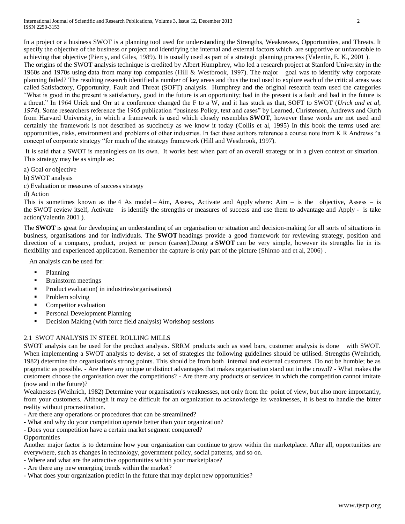In a project or a business SWOT is a planning tool used for unde**r**st**a**nding the Strengths, Weaknesses, O**p**portunit**i**es, and Threats. It specify the objective of the business or project and identifying the internal and external factors which are supportive or unfavorable to achieving that objective (Piercy, and Giles, 1989). It is usually used as part of a strategic planning process (Valentin, E. K., 2001 ). The o**r**igins of the SWOT **a**nalysis technique is credited by Albert Hum**p**hrey, who led a research project at Stanford Un**i**versity in the 1960s and 1970s using **d**ata from many top companies (Hill & Westbrook, 1997). The major goal was to identify why corporate planning failed? The resulting research identified a number of key areas and thus the tool used to explore each of the critical areas was called Satisfactory, Opportunity, Fault and Threat (SOFT) analysis. Humphrey and the original research team used the categories "What is good in the present is satisfactory, good in the future is an opportunity; bad in the present is a fault and bad in the future is a threat." In 1964 Urick and Orr at a conference changed the F to a W, and it has stuck as that, SOFT to SWOT (*Urick and et al, 1974*). Some researchers reference the 1965 publication "business Policy, text and cases" by Learned, Christensen, Andrews and Guth from Harvard University, in which a framework is used which closely resembles **SWOT**, however these words are not used and certainly the framework is not described as succinctly as we know it today (Collis et al, 1995) In this book the terms used are: opportunities, risks, environment and problems of other industries. In fact these authors reference a course note from K R Andrews "a concept of corporate strategy "for much of the strategy framework (Hill and Westbrook, 1997).

It is said that a SWOT is meaningless on its own. It works best when part of an overall strategy or in a given context or situation. This strategy may be as simple as:

- a) Goal or objective
- b) SWOT analysis
- c) Evaluation or measures of success strategy
- d) Action

This is sometimes known as the 4 As model – Aim, Assess, Activate and Apply where: Aim – is the objective, Assess – is the SWOT review itself, Activate – is identify the strengths or measures of success and use them to advantage and Apply - is take action(Valentin 2001 ).

The **SWOT** is great for developing an understanding of an organisation or situation and decision-making for all sorts of situations in business, organisations and for individuals. The **SWOT** headings provide a good framework for reviewing strategy, position and direction of a company, product, project or person (career).Doing a **SWOT** can be very simple, however its strengths lie in its flexibility and experienced application. Remember the capture is only part of the picture (Shinno and et al, 2006) .

An analysis can be used for:

- Planning
- Brainstorm meetings
- Product evaluation( in industries/organisations)
- Problem solving
- **Competitor evaluation**
- **Personal Development Planning**
- Decision Making (with force field analysis) Workshop sessions

# 2.1 SWOT ANALYSIS IN STEEL ROLLING MILLS

SWOT analysis can be used for the product analysis. SRRM products such as steel bars, customer analysis is done with SWOT. When implementing a SWOT analysis to devise, a set of strategies the following guidelines should be utilised. Strengths (Weihrich, 1982) determine the organisation's strong points. This should be from both internal and external customers. Do not be humble; be as pragmatic as possible. - Are there any unique or distinct advantages that makes organisation stand out in the crowd? - What makes the customers choose the organisation over the competitions? - Are there any products or services in which the competition cannot imitate (now and in the future)?

Weaknesses (Weihrich, 1982) Determine your organisation's weaknesses, not only from the point of view, but also more importantly, from your customers. Although it may be difficult for an organization to acknowledge its weaknesses, it is best to handle the bitter reality without procrastination.

- Are there any operations or procedures that can be streamlined?
- What and why do your competition operate better than your organization?
- Does your competition have a certain market segment conquered?
- **Opportunities**

Another major factor is to determine how your organization can continue to grow within the marketplace. After all, opportunities are everywhere, such as changes in technology, government policy, social patterns, and so on.

- Where and what are the attractive opportunities within your marketplace?
- Are there any new emerging trends within the market?
- What does your organization predict in the future that may depict new opportunities?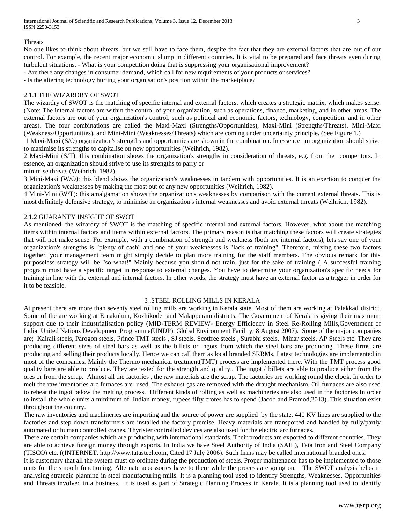#### **Threats**

No one likes to think about threats, but we still have to face them, despite the fact that they are external factors that are out of our control. For example, the recent major economic slump in different countries. It is vital to be prepared and face threats even during turbulent situations. - What is your competition doing that is suppressing your organisational improvement?

- Are there any changes in consumer demand, which call for new requirements of your products or services?

- Is the altering technology hurting your organisation's position within the marketplace?

## 2.1.1 THE WIZARDRY OF SWOT

The wizardry of SWOT is the matching of specific internal and external factors, which creates a strategic matrix, which makes sense. (Note: The internal factors are within the control of your organization, such as operations, finance, marketing, and in other areas. The external factors are out of your organization's control, such as political and economic factors, technology, competition, and in other areas). The four combinations are called the Maxi-Maxi (Strengths/Opportunities), Maxi-Mini (Strengths/Threats), Mini-Maxi (Weakness/Opportunities), and Mini-Mini (Weaknesses/Threats) which are coming under uncertainty principle. (See Figure 1.)

1 Maxi-Maxi (S/O) organization's strengths and opportunities are shown in the combination. In essence, an organization should strive to maximise its strengths to capitalise on new opportunities (Weihrich, 1982).

2 Maxi-Mini (S/T): this combination shows the organization's strengths in consideration of threats, e.g. from the competitors. In essence, an organization should strive to use its strengths to parry or

minimise threats (Weihrich, 1982).

3 Mini-Maxi (W/O): this blend shows the organization's weaknesses in tandem with opportunities. It is an exertion to conquer the organization's weaknesses by making the most out of any new opportunities (Weihrich, 1982).

4 Mini-Mini (W/T): this amalgamation shows the organization's weaknesses by comparison with the current external threats. This is most definitely defensive strategy, to minimise an organization's internal weaknesses and avoid external threats (Weihrich, 1982).

#### 2.1.2 GUARANTY INSIGHT OF SWOT

As mentioned, the wizardry of SWOT is the matching of specific internal and external factors. However, what about the matching items within internal factors and items within external factors. The primary reason is that matching these factors will create strategies that will not make sense. For example, with a combination of strength and weakness (both are internal factors), lets say one of your organization's strengths is "plenty of cash" and one of your weaknesses is "lack of training". Therefore, mixing these two factors together, your management team might simply decide to plan more training for the staff members. The obvious remark for this purposeless strategy will be "so what!" Mainly because you should not train, just for the sake of training ( A successful training program must have a specific target in response to external changes. You have to determine your organization's specific needs for training in line with the external and internal factors. In other words, the strategy must have an external factor as a trigger in order for it to be feasible.

#### 3 .STEEL ROLLING MILLS IN KERALA

At present there are more than seventy steel rolling mills are working in Kerala state. Most of them are working at Palakkad district. Some of the are working at Ernakulum, Kozhikode and Malappuram districts. The Government of Kerala is giving their maximum support due to their industrialisation policy (MID-TERM REVIEW- Energy Efficiency in Steel Re-Rolling Mills,Government of India, United Nations Development Programme(UNDP), Global Environment Facility, 8 August 2007). Some of the major companies are; Kairali steels, Parogon steels, Prince TMT steels , SJ steels, Scotfree steels , Surabhi steels, Minar steels, AP Steels etc. They are producing different sizes of steel bars as well as the billets or ingots from which the steel bars are producing. These firms are producing and selling their products locally. Hence we can call them as local branded SRRMs. Latest technologies are implemented in most of the companies. Mainly the Thermo mechanical treatment(TMT) process are implemented there. With the TMT process good quality bare are able to produce. They are tested for the strength and quality.. The ingot / billets are able to produce either from the ores or from the scrap. Almost all the factories , the raw materials are the scrap. The factories are working round the clock. In order to melt the raw inventories arc furnaces are used. The exhaust gas are removed with the draught mechanism. Oil furnaces are also used to reheat the ingot below the melting process. Different kinds of rolling as well as machineries are also used in the factories In order to install the whole units a minimum of Indian money, rupees fifty crores has to spend (Jacob and Pramod,2013). This situation exist throughout the country.

The raw inventories and machineries are importing and the source of power are supplied by the state. 440 KV lines are supplied to the factories and step down transformers are installed the factory premise. Heavy materials are transported and handled by fully/partly automated or human controlled cranes. Thyrister controlled devices are also used for the electric arc furnaces.

There are certain companies which are producing with international standards. Their products are exported to different countries. They are able to achieve foreign money through exports. In India we have Steel Authority of India (SAIL), Tata Iron and Steel Company (TISCO) etc. ((INTERNET. http://www.tatasteel.com, Cited 17 July 2006). Such firms may be called international branded ones.

It is customary that all the system must co ordinate during the production of steels. Proper maintenance has to be implemented to those units for the smooth functioning. Alternate accessories have to there while the process are going on. The SWOT analysis helps in analysing strategic planning in steel manufacturing mills. It is a planning tool used to identify Strengths, Weaknesses, Opportunities and Threats involved in a business. It is used as part of Strategic Planning Process in Kerala. It is a planning tool used to identify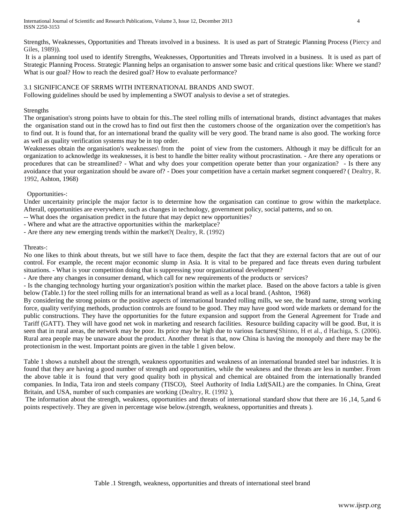Strengths, Weaknesses, Opportunities and Threats involved in a business. It is used as part of Strategic Planning Process (Piercy and Giles, 1989)).

It is a planning tool used to identify Strengths, Weaknesses, Opportunities and Threats involved in a business. It is used as part of Strategic Planning Process. Strategic Planning helps an organisation to answer some basic and critical questions like: Where we stand? What is our goal? How to reach the desired goal? How to evaluate performance?

# 3.1 SIGNIFICANCE OF SRRMS WITH INTERNATIONAL BRANDS AND SWOT.

Following guidelines should be used by implementing a SWOT analysis to devise a set of strategies.

## Strengths

The organisation's strong points have to obtain for this..The steel rolling mills of international brands, distinct advantages that makes the organisation stand out in the crowd has to find out first then the customers choose of the organization over the competition's has to find out. It is found that, for an international brand the quality will be very good. The brand name is also good. The working force as well as quality verification systems may be in top order.

Weaknesses obtain the organisation's weaknesses\ from the point of view from the customers. Although it may be difficult for an organization to acknowledge its weaknesses, it is best to handle the bitter reality without procrastination. - Are there any operations or procedures that can be streamlined? - What and why does your competition operate better than your organization? - Is there any avoidance that your organization should be aware of? - Does your competition have a certain market segment conquered? ( Dealtry, R. 1992, Ashton, 1968)

# Opportunities-:

Under uncertainity principle the major factor is to determine how the organisation can continue to grow within the marketplace. Afterall, opportunities are everywhere, such as changes in technology, government policy, social patterns, and so on.

- -- What does the organisation predict in the future that may depict new opportunities?
- Where and what are the attractive opportunities within the marketplace?
- Are there any new emerging trends within the market?( Dealtry, R. (1992)

## Threats-:

No one likes to think about threats, but we still have to face them, despite the fact that they are external factors that are out of our control. For example, the recent major economic slump in Asia. It is vital to be prepared and face threats even during turbulent situations. - What is your competition doing that is suppressing your organizational development?

- Are there any changes in consumer demand, which call for new requirements of the products or services?

- Is the changing technology hurting your organization's position within the market place. Based on the above factors a table is given below (Table.1) for the steel rolling mills for an international brand as well as a local brand. (Ashton, 1968)

By considering the strong points or the positive aspects of international branded rolling mills, we see, the brand name, strong working force, quality verifying methods, production controls are found to be good. They may have good word wide markets or demand for the public constructions. They have the opportunities for the future expansion and support from the General Agreement for Trade and Tariff (GATT). They will have good net wok in marketing and research facilities. Resource building capacity will be good. But, it is seen that in rural areas, the network may be poor. Its price may be high due to various factures(Shinno, H et al., d Hachiga, S. (2006). Rural area people may be unaware about the product. Another threat is that, now China is having the monopoly and there may be the protectionism in the west. Important points are given in the table 1 given below.

Table 1 shows a nutshell about the strength, weakness opportunities and weakness of an international branded steel bar industries. It is found that they are having a good number of strength and opportunities, while the weakness and the threats are less in number. From the above table it is found that very good quality both in physical and chemical are obtained from the internationally branded companies. In India, Tata iron and steels company (TISCO), Steel Authority of India Ltd(SAIL) are the companies. In China, Great Britain, and USA, number of such companies are working (Dealtry, R. (1992 ),

The information about the strength, weakness, opportunities and threats of international standard show that there are 16 ,14, 5,and 6 points respectively. They are given in percentage wise below.(strength, weakness, opportunities and threats ).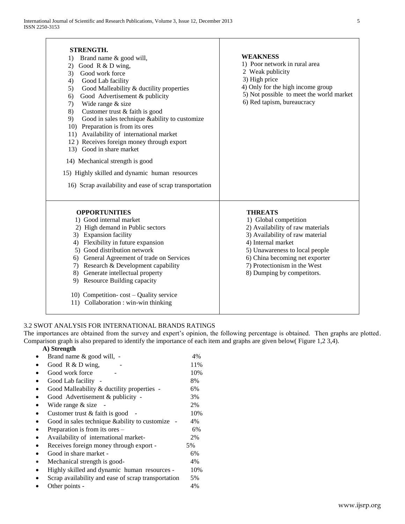| <b>STRENGTH.</b><br>Brand name & good will,<br>1)<br>Good R & D wing,<br>2)<br>Good work force<br>3)<br>Good Lab facility<br>4)<br>Good Malleability & ductility properties<br>5)<br>Good Advertisement & publicity<br>6)<br>Wide range & size<br>7)<br>Customer trust & faith is good<br>8)<br>Good in sales technique &ability to customize<br>9)<br>10) Preparation is from its ores<br>11) Availability of international market<br>12) Receives foreign money through export<br>13) Good in share market<br>14) Mechanical strength is good<br>15) Highly skilled and dynamic human resources<br>16) Scrap availability and ease of scrap transportation | <b>WEAKNESS</b><br>1) Poor network in rural area<br>2 Weak publicity<br>3) High price<br>4) Only for the high income group<br>5) Not possible to meet the world market<br>6) Red tapism, bureaucracy                                                                   |
|--------------------------------------------------------------------------------------------------------------------------------------------------------------------------------------------------------------------------------------------------------------------------------------------------------------------------------------------------------------------------------------------------------------------------------------------------------------------------------------------------------------------------------------------------------------------------------------------------------------------------------------------------------------|------------------------------------------------------------------------------------------------------------------------------------------------------------------------------------------------------------------------------------------------------------------------|
| <b>OPPORTUNITIES</b><br>1) Good internal market<br>2) High demand in Public sectors<br>3) Expansion facility<br>4) Flexibility in future expansion<br>5) Good distribution network<br>6) General Agreement of trade on Services<br>7) Research & Development capability<br>8) Generate intellectual property<br>9) Resource Building capacity<br>10) Competition-cost – Quality service<br>11) Collaboration : win-win thinking                                                                                                                                                                                                                              | <b>THREATS</b><br>1) Global competition<br>2) Availability of raw materials<br>3) Availability of raw material<br>4) Internal market<br>5) Unawareness to local people<br>6) China becoming net exporter<br>7) Protectionism in the West<br>8) Dumping by competitors. |

Τ

## 3.2 SWOT ANALYSIS FOR INTERNATIONAL BRANDS RATINGS

The importances are obtained from the survey and expert's opinion, the following percentage is obtained. Then graphs are plotted. Comparison graph is also prepared to identify the importance of each item and graphs are given below( Figure 1,2 3,4).

# **A) Strength**

|           | Brand name & good will, -                           | 4%  |
|-----------|-----------------------------------------------------|-----|
|           | Good R & D wing,                                    | 11% |
|           | Good work force                                     | 10% |
|           | Good Lab facility                                   | 8%  |
|           | Good Malleability & ductility properties -          | 6%  |
|           | Good Advertisement & publicity -                    | 3%  |
|           | Wide range & size                                   | 2%  |
|           | Customer trust $&$ faith is good                    | 10% |
|           | Good in sales technique & ability to customize      | 4%  |
|           | Preparation is from its ores –                      | 6%  |
| $\bullet$ | Availability of international market-               | 2%  |
| $\bullet$ | Receives foreign money through export -             | 5%  |
|           | Good in share market -                              | 6%  |
| ٠         | Mechanical strength is good-                        | 4%  |
|           | Highly skilled and dynamic human resources -        | 10% |
|           | Scrap availability and ease of scrap transportation | 5%  |
|           | Other points -                                      | 4%  |
|           |                                                     |     |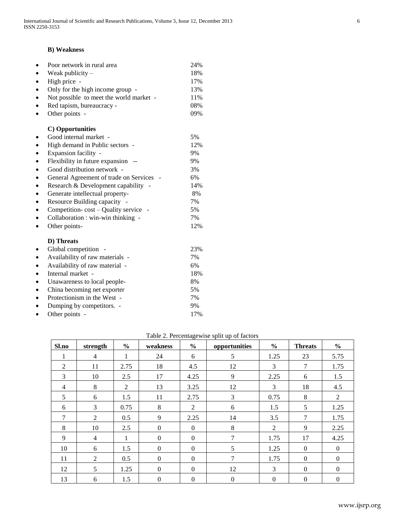# **B) Weakness**

| $\bullet$ | Poor network in rural area              | 24% |
|-----------|-----------------------------------------|-----|
|           | Weak publicity $-$                      | 18% |
| ٠         | High price                              | 17% |
| $\bullet$ | Only for the high income group -        | 13% |
| $\bullet$ | Not possible to meet the world market - | 11% |
|           | Red tapism, bureaucracy -               | 08% |
|           | Other points -                          | 09% |
|           | C) Opportunities                        |     |
|           | Good internal market -                  | 5%  |
| $\bullet$ | High demand in Public sectors -         | 12% |
| $\bullet$ | Expansion facility -                    | 9%  |
|           | Flexibility in future expansion         | 9%  |
| $\bullet$ | Good distribution network -             | 3%  |
| $\bullet$ | General Agreement of trade on Services  | 6%  |
|           | Research & Development capability       | 14% |
| ٠         | Generate intellectual property-         | 8%  |
|           | Resource Building capacity              | 7%  |
|           | Competition-cost – Quality service      | 5%  |
| $\bullet$ | Collaboration : win-win thinking -      | 7%  |
|           | Other points-                           | 12% |
|           | D) Threats                              |     |
|           | Global competition                      | 23% |
|           | Availability of raw materials -         | 7%  |
| $\bullet$ | Availability of raw material -          | 6%  |
| $\bullet$ | Internal market -                       | 18% |
| ٠         | Unawareness to local people-            | 8%  |
| $\bullet$ | China becoming net exporter             | 5%  |
|           | Protectionism in the West -             | 7%  |
|           | Dumping by competitors. -               | 9%  |
|           | Other points -                          | 17% |

| Sl.no             | strength       | $\frac{6}{6}$ | weakness         | $\frac{6}{6}$  | opportunities    | $\frac{6}{6}$  | <b>Threats</b> | $\frac{0}{0}$  |
|-------------------|----------------|---------------|------------------|----------------|------------------|----------------|----------------|----------------|
| 1<br>$\mathbf{I}$ | $\overline{4}$ | 1             | 24               | 6              | 5                | 1.25           | 23             | 5.75           |
| 2                 | 11             | 2.75          | 18               | 4.5            | 12               | 3              | 7              | 1.75           |
| 3                 | 10             | 2.5           | 17               | 4.25           | 9                | 2.25           | 6              | 1.5            |
| $\overline{4}$    | 8              | 2             | 13               | 3.25           | 12               | 3              | 18             | 4.5            |
| 5                 | 6              | 1.5           | 11               | 2.75           | 3                | 0.75           | 8              | 2              |
| 6                 | 3              | 0.75          | 8                | $\overline{2}$ | 6                | 1.5            | 5              | 1.25           |
| 7                 | 2              | 0.5           | 9                | 2.25           | 14               | 3.5            | 7              | 1.75           |
| 8                 | 10             | 2.5           | $\Omega$         | $\theta$       | 8                | $\overline{2}$ | 9              | 2.25           |
| 9                 | $\overline{4}$ | 1             | $\Omega$         | $\theta$       | 7                | 1.75           | 17             | 4.25           |
| 10                | 6              | 1.5           | $\Omega$         | $\theta$       | 5                | 1.25           | $\theta$       | $\overline{0}$ |
| 11                | 2              | 0.5           | $\Omega$         | $\theta$       | 7                | 1.75           | $\Omega$       | $\Omega$       |
| 12                | 5              | 1.25          | $\Omega$         | $\theta$       | 12               | 3              | $\Omega$       | $\overline{0}$ |
| 13                | 6              | 1.5           | $\boldsymbol{0}$ | $\overline{0}$ | $\boldsymbol{0}$ | $\mathbf{0}$   | $\overline{0}$ | $\mathbf{0}$   |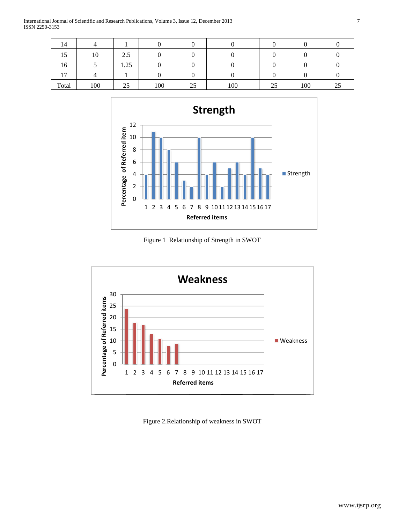International Journal of Scientific and Research Publications, Volume 3, Issue 12, December 2013 7 ISSN 2250-3153

| 14                |     |                         |     |    |     |    |     |  |
|-------------------|-----|-------------------------|-----|----|-----|----|-----|--|
| $\epsilon$<br>⊥ J | 10  | $\gamma$<br>$\angle$ .J |     |    |     |    |     |  |
| 16                |     | 1.25                    |     |    |     |    |     |  |
| $\overline{ }$    |     |                         |     |    |     |    |     |  |
| Total             | 100 | 25                      | 100 | 25 | 100 | 25 | 100 |  |



Figure 1 Relationship of Strength in SWOT



Figure 2.Relationship of weakness in SWOT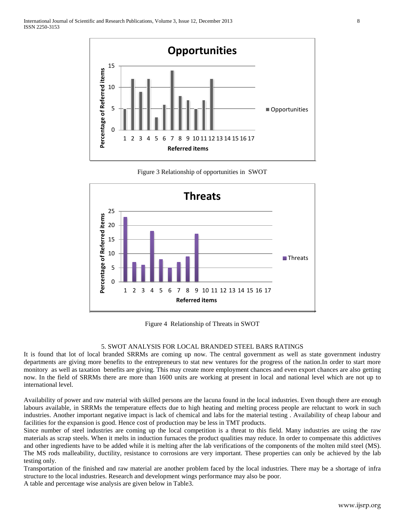

Figure 3 Relationship of opportunities in SWOT



Figure 4 Relationship of Threats in SWOT

# 5. SWOT ANALYSIS FOR LOCAL BRANDED STEEL BARS RATINGS

It is found that lot of local branded SRRMs are coming up now. The central government as well as state government industry departments are giving more benefits to the entrepreneurs to stat new ventures for the progress of the nation.In order to start more monitory as well as taxation benefits are giving. This may create more employment chances and even export chances are also getting now. In the field of SRRMs there are more than 1600 units are working at present in local and national level which are not up to international level.

Availability of power and raw material with skilled persons are the lacuna found in the local industries. Even though there are enough labours available, in SRRMs the temperature effects due to high heating and melting process people are reluctant to work in such industries. Another important negative impact is lack of chemical and labs for the material testing . Availability of cheap labour and facilities for the expansion is good. Hence cost of production may be less in TMT products.

Since number of steel industries are coming up the local competition is a threat to this field. Many industries are using the raw materials as scrap steels. When it melts in induction furnaces the product qualities may reduce. In order to compensate this addictives and other ingredients have to be added while it is melting after the lab verifications of the components of the molten mild steel (MS). The MS rods malleability, ductility, resistance to corrosions are very important. These properties can only be achieved by the lab testing only.

Transportation of the finished and raw material are another problem faced by the local industries. There may be a shortage of infra structure to the local industries. Research and development wings performance may also be poor.

A table and percentage wise analysis are given below in Table3.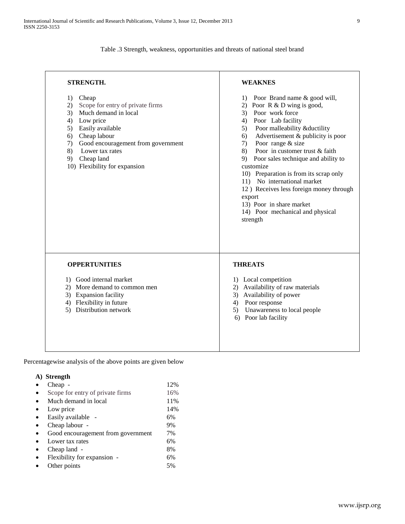Table .3 Strength, weakness, opportunities and threats of national steel brand

| <b>WEAKNES</b>                                                                                                                                                                                                                                                                                                                                                                                                                                                                                                                       |  |  |  |
|--------------------------------------------------------------------------------------------------------------------------------------------------------------------------------------------------------------------------------------------------------------------------------------------------------------------------------------------------------------------------------------------------------------------------------------------------------------------------------------------------------------------------------------|--|--|--|
| Poor Brand name & good will,<br>1)<br>2) Poor R & D wing is good,<br>3) Poor work force<br>4) Poor Lab facility<br>Poor malleability &ductility<br>5)<br>Advertisement & publicity is poor<br>6)<br>Poor range & size<br>7)<br>Poor in customer trust & faith<br>8)<br>9) Poor sales technique and ability to<br>customize<br>10) Preparation is from its scrap only<br>11) No international market<br>12) Receives less foreign money through<br>export<br>13) Poor in share market<br>14) Poor mechanical and physical<br>strength |  |  |  |
| <b>THREATS</b><br>1) Local competition<br>2) Availability of raw materials<br>3) Availability of power<br>4) Poor response<br>5) Unawareness to local people<br>6) Poor lab facility                                                                                                                                                                                                                                                                                                                                                 |  |  |  |
|                                                                                                                                                                                                                                                                                                                                                                                                                                                                                                                                      |  |  |  |

Percentagewise analysis of the above points are given below

# **A) Strength**

| Cheap -                            | 12% |
|------------------------------------|-----|
| Scope for entry of private firms   | 16% |
| Much demand in local               | 11% |
| Low price                          | 14% |
| Easily available -                 | 6%  |
| Cheap labour -                     | 9%  |
| Good encouragement from government | 7%  |
| Lower tax rates                    | 6%  |
| Cheap land -                       | 8%  |
| Flexibility for expansion -        | 6%  |
| Other points                       | 5%  |
|                                    |     |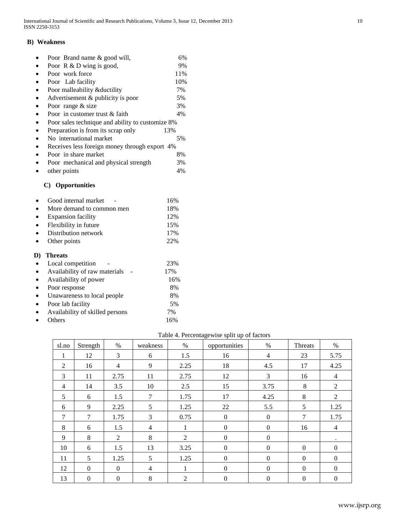## **B) Weakness**

| Poor Brand name & good will,                     | 6%  |
|--------------------------------------------------|-----|
| Poor $R & D$ wing is good,                       | 9%  |
| Poor work force                                  | 11% |
| Poor Lab facility                                | 10% |
| Poor malleability & ductility                    | 7%  |
| Advertisement & publicity is poor                | 5%  |
| Poor range & size                                | 3%  |
| Poor in customer trust & faith                   | 4%  |
| Poor sales technique and ability to customize 8% |     |
| Preparation is from its scrap only               | 13% |
| No international market                          | 5%  |
| Receives less foreign money through export 4%    |     |
| Poor in share market                             | 8%  |
| Poor mechanical and physical strength            | 3%  |
| other points                                     | 4%  |
| <b>Opportunities</b><br>C)                       |     |
| Good internal market                             | 16% |

|           | OOOG mich mar market      | .   |
|-----------|---------------------------|-----|
| $\bullet$ | More demand to common men | 18% |
| $\bullet$ | <b>Expansion facility</b> | 12% |
|           | • Flexibility in future   | 15% |
| $\bullet$ | Distribution network      | 17% |
| $\bullet$ | Other points              | 22% |
|           |                           |     |

# **D) Threats**

| Local competition               | 23% |
|---------------------------------|-----|
| Availability of raw materials   | 17% |
| Availability of power           | 16% |
| Poor response                   | 8%  |
| Unawareness to local people     | 8%  |
| Poor lab facility               | 5%  |
| Availability of skilled persons | 7%  |
| Others                          | 16% |
|                                 |     |

# Table 4. Percentagewise split up of factors

| sl.no          | Strength         | $\%$             | weakness       | $\%$ | opportunities    | $\%$             | Threats        | $\%$           |
|----------------|------------------|------------------|----------------|------|------------------|------------------|----------------|----------------|
|                | 12               | 3                | 6              | 1.5  | 16               | $\overline{4}$   | 23             | 5.75           |
| 2              | 16               | $\overline{4}$   | 9              | 2.25 | 18               | 4.5              | 17             | 4.25           |
| 3              | 11               | 2.75             | 11             | 2.75 | 12               | 3                | 16             | $\overline{4}$ |
| $\overline{4}$ | 14               | 3.5              | 10             | 2.5  | 15               | 3.75             | 8              | $\overline{2}$ |
| 5              | 6                | 1.5              | $\overline{7}$ | 1.75 | 17               | 4.25             | 8              | 2              |
| 6              | 9                | 2.25             | 5              | 1.25 | 22               | 5.5              | 5              | 1.25           |
| $\overline{7}$ | $\tau$           | 1.75             | 3              | 0.75 | $\mathbf{0}$     | $\boldsymbol{0}$ | $\tau$         | 1.75           |
| 8              | 6                | 1.5              | $\overline{4}$ | 1    | $\overline{0}$   | $\boldsymbol{0}$ | 16             | $\overline{4}$ |
| 9              | 8                | 2                | 8              | 2    | $\boldsymbol{0}$ | $\boldsymbol{0}$ |                |                |
| 10             | 6                | 1.5              | 13             | 3.25 | $\theta$         | $\overline{0}$   | $\Omega$       | $\Omega$       |
| 11             | 5                | 1.25             | 5              | 1.25 | $\overline{0}$   | $\overline{0}$   | $\overline{0}$ | $\theta$       |
| 12             | $\boldsymbol{0}$ | $\overline{0}$   | $\overline{4}$ | 1    | $\overline{0}$   | $\boldsymbol{0}$ | $\mathbf{0}$   | $\Omega$       |
| 13             | $\boldsymbol{0}$ | $\boldsymbol{0}$ | 8              | 2    | $\mathbf{0}$     | $\boldsymbol{0}$ | $\theta$       | $\Omega$       |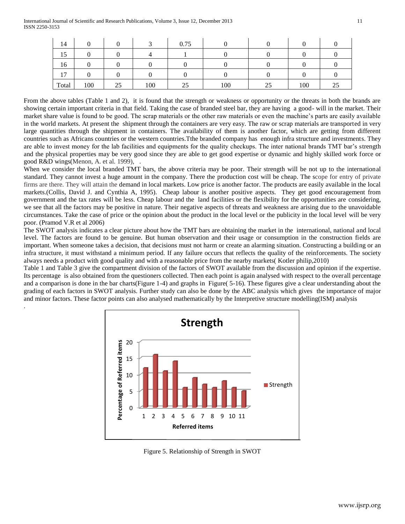.

| 14             |     |    |     | 0.75 |     |    |     |   |
|----------------|-----|----|-----|------|-----|----|-----|---|
| 15             |     |    |     |      |     |    |     |   |
| 16             |     |    |     |      |     |    |     |   |
| 1 <sub>7</sub> |     |    |     |      |     |    |     |   |
| Total          | 100 | 25 | 100 | 25   | 100 | 25 | 100 | ت |

From the above tables (Table 1 and 2), it is found that the strength or weakness or opportunity or the threats in both the brands are showing certain important criteria in that field. Taking the case of branded steel bar, they are having a good- will in the market. Their market share value is found to be good. The scrap materials or the other raw materials or even the machine's parts are easily available in the world markets. At present the shipment through the containers are very easy. The raw or scrap materials are transported in very large quantities through the shipment in containers. The availability of them is another factor, which are getting from different countries such as Africans countries or the western countries.Tthe branded company has enough infra structure and investments. They are able to invest money for the lab facilities and equipments for the quality checkups. The inter national brands TMT bar's strength and the physical properties may be very good since they are able to get good expertise or dynamic and highly skilled work force or good R&D wings(Menon, A. et al. 1999), .

When we consider the local branded TMT bars, the above criteria may be poor. Their strength will be not up to the international standard. They cannot invest a huge amount in the company. There the production cost will be cheap. The scope for entry of private firms are there. They will attain the demand in local markets. Low price is another factor. The products are easily available in the local markets.(Collis, David J. and Cynthia A, 1995). Cheap labour is another positive aspects. They get good encouragement from government and the tax rates will be less. Cheap labour and the land facilities or the flexibility for the opportunities are considering, we see that all the factors may be positive in nature. Their negative aspects of threats and weakness are arising due to the unavoidable circumstances. Take the case of price or the opinion about the product in the local level or the publicity in the local level will be very poor. (Pramod V.R et al 2006)

The SWOT analysis indicates a clear picture about how the TMT bars are obtaining the market in the international, national and local level. The factors are found to be genuine. But human observation and their usage or consumption in the construction fields are important. When someone takes a decision, that decisions must not harm or create an alarming situation. Constructing a building or an infra structure, it must withstand a minimum period. If any failure occurs that reflects the quality of the reinforcements. The society always needs a product with good quality and with a reasonable price from the nearby markets( Kotler philip,2010)

Table 1 and Table 3 give the compartment division of the factors of SWOT available from the discussion and opinion if the expertise. Its percentage is also obtained from the questioners collected. Then each point is again analysed with respect to the overall percentage and a comparison is done in the bar charts(Figure 1-4) and graphs in Figure( 5-16). These figures give a clear understanding about the grading of each factors in SWOT analysis. Further study can also be done by the ABC analysis which gives the importance of major and minor factors. These factor points can also analysed mathematically by the Interpretive structure modelling(ISM) analysis



Figure 5. Relationship of Strength in SWOT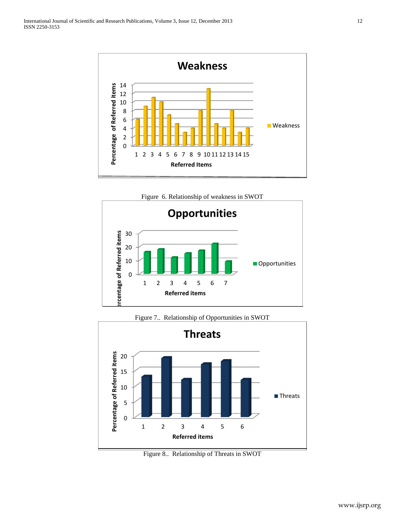



Figure 7.. Relationship of Opportunities in SWOT



Figure 8.. Relationship of Threats in SWOT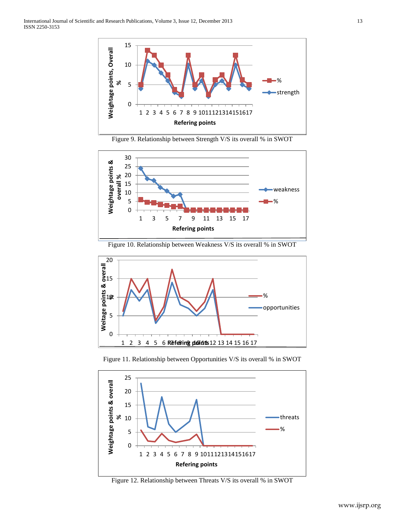

Figure 9. Relationship between Strength V/S its overall % in SWOT



Figure 10. Relationship between Weakness V/S its overall % in SWOT







Figure 12. Relationship between Threats V/S its overall % in SWOT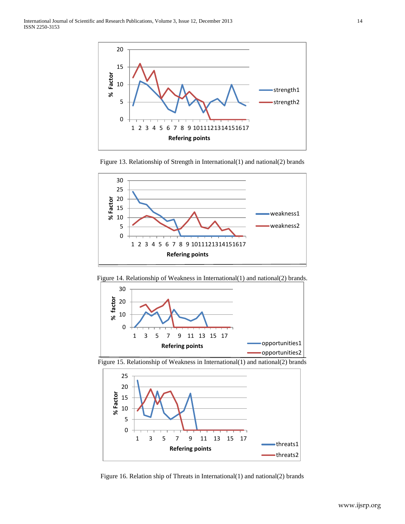

Figure 13. Relationship of Strength in International(1) and national(2) brands



Figure 14. Relationship of Weakness in International(1) and national(2) brands.



Figure 15. Relationship of Weakness in International(1) and national(2) brands



Figure 16. Relation ship of Threats in International(1) and national(2) brands